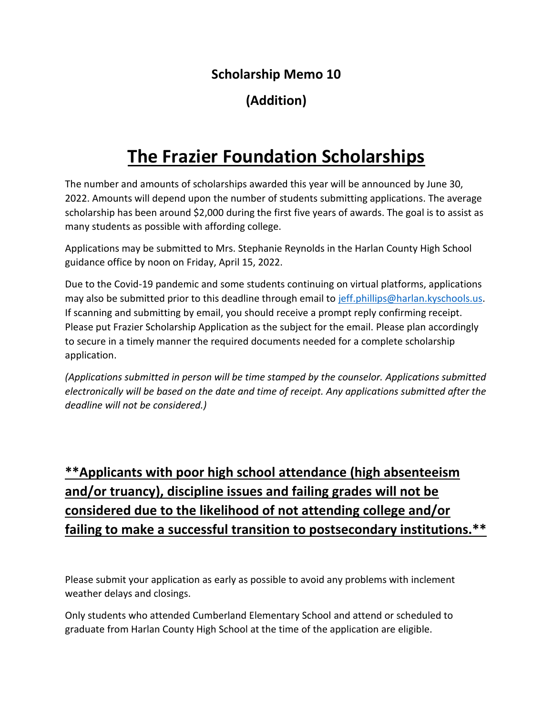### **Scholarship Memo 10**

## **(Addition)**

# **The Frazier Foundation Scholarships**

The number and amounts of scholarships awarded this year will be announced by June 30, 2022. Amounts will depend upon the number of students submitting applications. The average scholarship has been around \$2,000 during the first five years of awards. The goal is to assist as many students as possible with affording college.

Applications may be submitted to Mrs. Stephanie Reynolds in the Harlan County High School guidance office by noon on Friday, April 15, 2022.

Due to the Covid-19 pandemic and some students continuing on virtual platforms, applications may also be submitted prior to this deadline through email to [jeff.phillips@harlan.kyschools.us.](mailto:jeff.phillips@harlan.kyschools.us) If scanning and submitting by email, you should receive a prompt reply confirming receipt. Please put Frazier Scholarship Application as the subject for the email. Please plan accordingly to secure in a timely manner the required documents needed for a complete scholarship application.

*(Applications submitted in person will be time stamped by the counselor. Applications submitted electronically will be based on the date and time of receipt. Any applications submitted after the deadline will not be considered.)*

## **\*\*Applicants with poor high school attendance (high absenteeism and/or truancy), discipline issues and failing grades will not be considered due to the likelihood of not attending college and/or failing to make a successful transition to postsecondary institutions.\*\***

Please submit your application as early as possible to avoid any problems with inclement weather delays and closings.

Only students who attended Cumberland Elementary School and attend or scheduled to graduate from Harlan County High School at the time of the application are eligible.